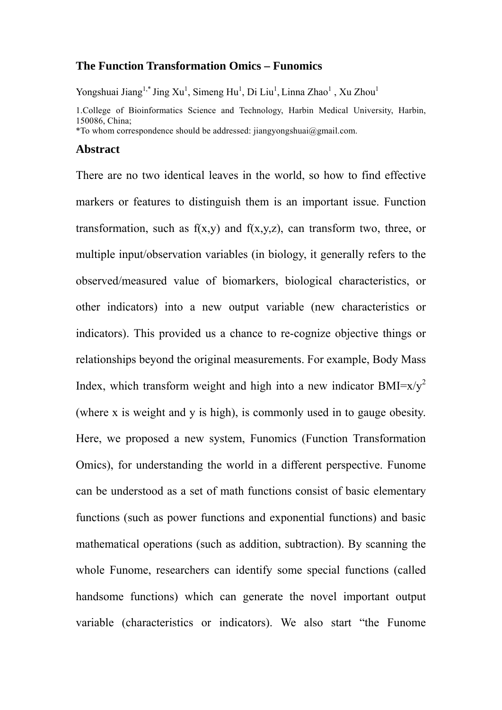## **The Function Transformation Omics – Funomics**

Yongshuai Jiang<sup>1,\*</sup> Jing Xu<sup>1</sup>, Simeng Hu<sup>1</sup>, Di Liu<sup>1</sup>, Linna Zhao<sup>1</sup>, Xu Zhou<sup>1</sup>

1.College of Bioinformatics Science and Technology, Harbin Medical University, Harbin, 150086, China;

\*To whom correspondence should be addressed: jiangyongshuai@gmail.com.

#### **Abstract**

There are no two identical leaves in the world, so how to find effective markers or features to distinguish them is an important issue. Function transformation, such as  $f(x,y)$  and  $f(x,y,z)$ , can transform two, three, or multiple input/observation variables (in biology, it generally refers to the observed/measured value of biomarkers, biological characteristics, or other indicators) into a new output variable (new characteristics or indicators). This provided us a chance to re-cognize objective things or relationships beyond the original measurements. For example, Body Mass Index, which transform weight and high into a new indicator  $BMI=x/y^2$ (where x is weight and y is high), is commonly used in to gauge obesity. Here, we proposed a new system, Funomics (Function Transformation Omics), for understanding the world in a different perspective. Funome can be understood as a set of math functions consist of basic elementary functions (such as power functions and exponential functions) and basic mathematical operations (such as addition, subtraction). By scanning the whole Funome, researchers can identify some special functions (called handsome functions) which can generate the novel important output variable (characteristics or indicators). We also start "the Funome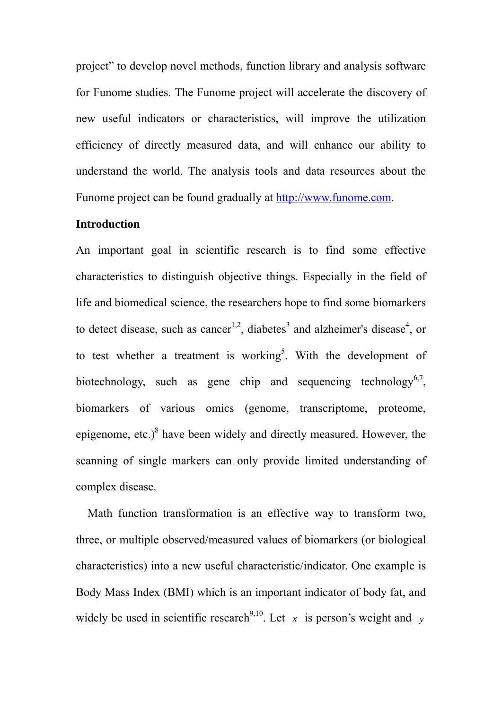project" to develop novel methods, function library and analysis software for Funome studies. The Funome project will accelerate the discovery of new useful indicators or characteristics, will improve the utilization efficiency of directly measured data, and will enhance our ability to understand the world. The analysis tools and data resources about the Funome project can be found gradually at http://www.funome.com.

### **Introduction**

An important goal in scientific research is to find some effective characteristics to distinguish objective things. Especially in the field of life and biomedical science, the researchers hope to find some biomarkers to detect disease, such as cancer<sup>1,2</sup>, diabetes<sup>3</sup> and alzheimer's disease<sup>4</sup>, or to test whether a treatment is working<sup>5</sup>. With the development of biotechnology, such as gene chip and sequencing technology<sup>6,7</sup>, biomarkers of various omics (genome, transcriptome, proteome, epigenome, etc.) $8$  have been widely and directly measured. However, the scanning of single markers can only provide limited understanding of complex disease.

 Math function transformation is an effective way to transform two, three, or multiple observed/measured values of biomarkers (or biological characteristics) into a new useful characteristic/indicator. One example is Body Mass Index (BMI) which is an important indicator of body fat, and widely be used in scientific research<sup>9,10</sup>. Let  $x$  is person's weight and  $y$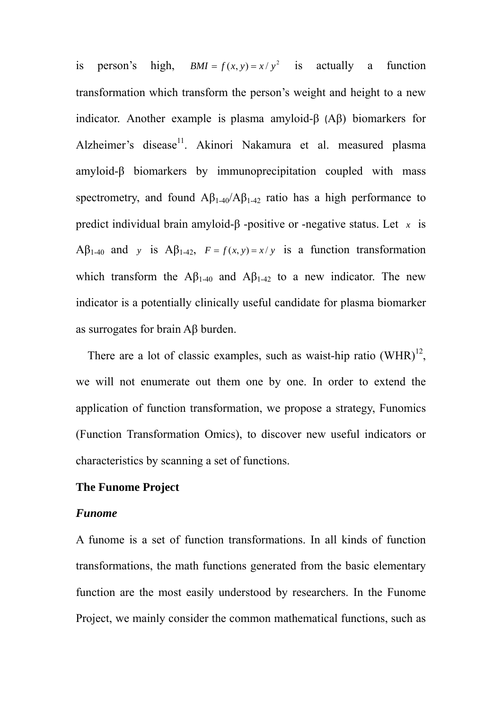is person's high,  $BMI = f(x, y) = x/y^2$  is actually a function transformation which transform the person's weight and height to a new indicator. Another example is plasma amyloid-β (Aβ) biomarkers for Alzheimer's disease<sup>11</sup>. Akinori Nakamura et al. measured plasma amyloid-β biomarkers by immunoprecipitation coupled with mass spectrometry, and found  $A\beta_{1-40}/A\beta_{1-42}$  ratio has a high performance to predict individual brain amyloid-β -positive or -negative status. Let *x* is Aβ<sub>1-40</sub> and *y* is Aβ<sub>1-42</sub>,  $F = f(x, y) = x/y$  is a function transformation which transform the  $A\beta_{1-40}$  and  $A\beta_{1-42}$  to a new indicator. The new indicator is a potentially clinically useful candidate for plasma biomarker as surrogates for brain Aβ burden.

There are a lot of classic examples, such as waist-hip ratio  $(WHR)^{12}$ , we will not enumerate out them one by one. In order to extend the application of function transformation, we propose a strategy, Funomics (Function Transformation Omics), to discover new useful indicators or characteristics by scanning a set of functions.

# **The Funome Project**

#### *Funome*

A funome is a set of function transformations. In all kinds of function transformations, the math functions generated from the basic elementary function are the most easily understood by researchers. In the Funome Project, we mainly consider the common mathematical functions, such as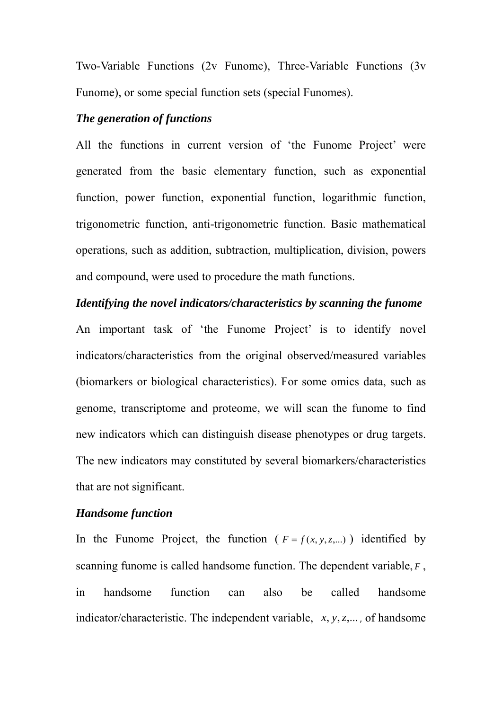Two-Variable Functions (2v Funome), Three-Variable Functions (3v Funome), or some special function sets (special Funomes).

## *The generation of functions*

All the functions in current version of 'the Funome Project' were generated from the basic elementary function, such as exponential function, power function, exponential function, logarithmic function, trigonometric function, anti-trigonometric function. Basic mathematical operations, such as addition, subtraction, multiplication, division, powers and compound, were used to procedure the math functions.

#### *Identifying the novel indicators/characteristics by scanning the funome*

An important task of 'the Funome Project' is to identify novel indicators/characteristics from the original observed/measured variables (biomarkers or biological characteristics). For some omics data, such as genome, transcriptome and proteome, we will scan the funome to find new indicators which can distinguish disease phenotypes or drug targets. The new indicators may constituted by several biomarkers/characteristics that are not significant.

# *Handsome function*

In the Funome Project, the function ( $F = f(x, y, z,...)$ ) identified by scanning funome is called handsome function. The dependent variable, *F* , in handsome function can also be called handsome indicator/characteristic. The independent variable, *x*, *y*,*z*,... , of handsome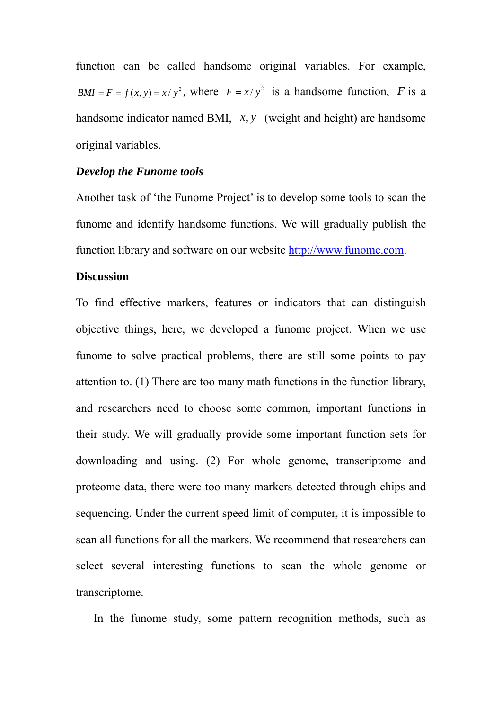function can be called handsome original variables. For example,  $BMI = F = f(x, y) = x / y^2$ , where  $F = x / y^2$  is a handsome function, *F* is a handsome indicator named BMI, *x*, *y* (weight and height) are handsome original variables.

# *Develop the Funome tools*

Another task of 'the Funome Project' is to develop some tools to scan the funome and identify handsome functions. We will gradually publish the function library and software on our website http://www.funome.com.

# **Discussion**

To find effective markers, features or indicators that can distinguish objective things, here, we developed a funome project. When we use funome to solve practical problems, there are still some points to pay attention to. (1) There are too many math functions in the function library, and researchers need to choose some common, important functions in their study. We will gradually provide some important function sets for downloading and using. (2) For whole genome, transcriptome and proteome data, there were too many markers detected through chips and sequencing. Under the current speed limit of computer, it is impossible to scan all functions for all the markers. We recommend that researchers can select several interesting functions to scan the whole genome or transcriptome.

In the funome study, some pattern recognition methods, such as